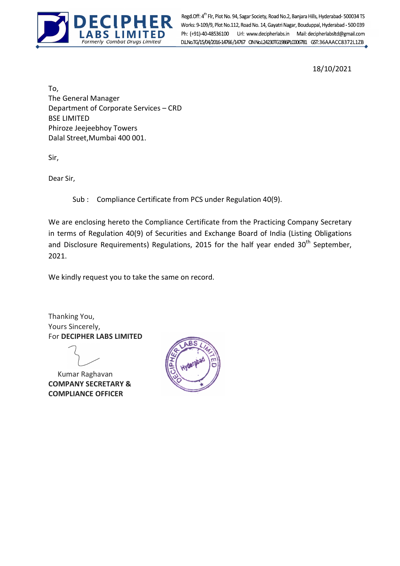

Formerly Combat Drugs Limited Regd.Off: 4<sup>th</sup> Flr, Plot No. 94, Sagar Society, Road No.2, Banjara Hills, Hyderabad- 500034 TS<br>Works: 9-109/9, Plot No.112, Road No. 14, Gayatri Nagar, Bouduppal, Hyderabad - 500 039 Ph: (+91)-40-48536100 Url: www.decipherlabs.in Mail: decipherlabsltd@gmail.com

18/10/2021

To, The General Manager Department of Corporate Services – CRD BSE LIMITED Phiroze Jeejeebhoy Towers Dalal Street,Mumbai 400 001.

Sir,

Dear Sir,

Sub : Compliance Certificate from PCS under Regulation 40(9).

We are enclosing hereto the Compliance Certificate from the Practicing Company Secretary in terms of Regulation 40(9) of Securities and Exchange Board of India (Listing Obligations and Disclosure Requirements) Regulations, 2015 for the half year ended  $30<sup>th</sup>$  September, 2021.

We kindly request you to take the same on record.

Thanking You, Yours Sincerely, For DECIPHER LABS LIMITED

 Kumar Raghavan COMPANY SECRETARY & COMPLIANCE OFFICER